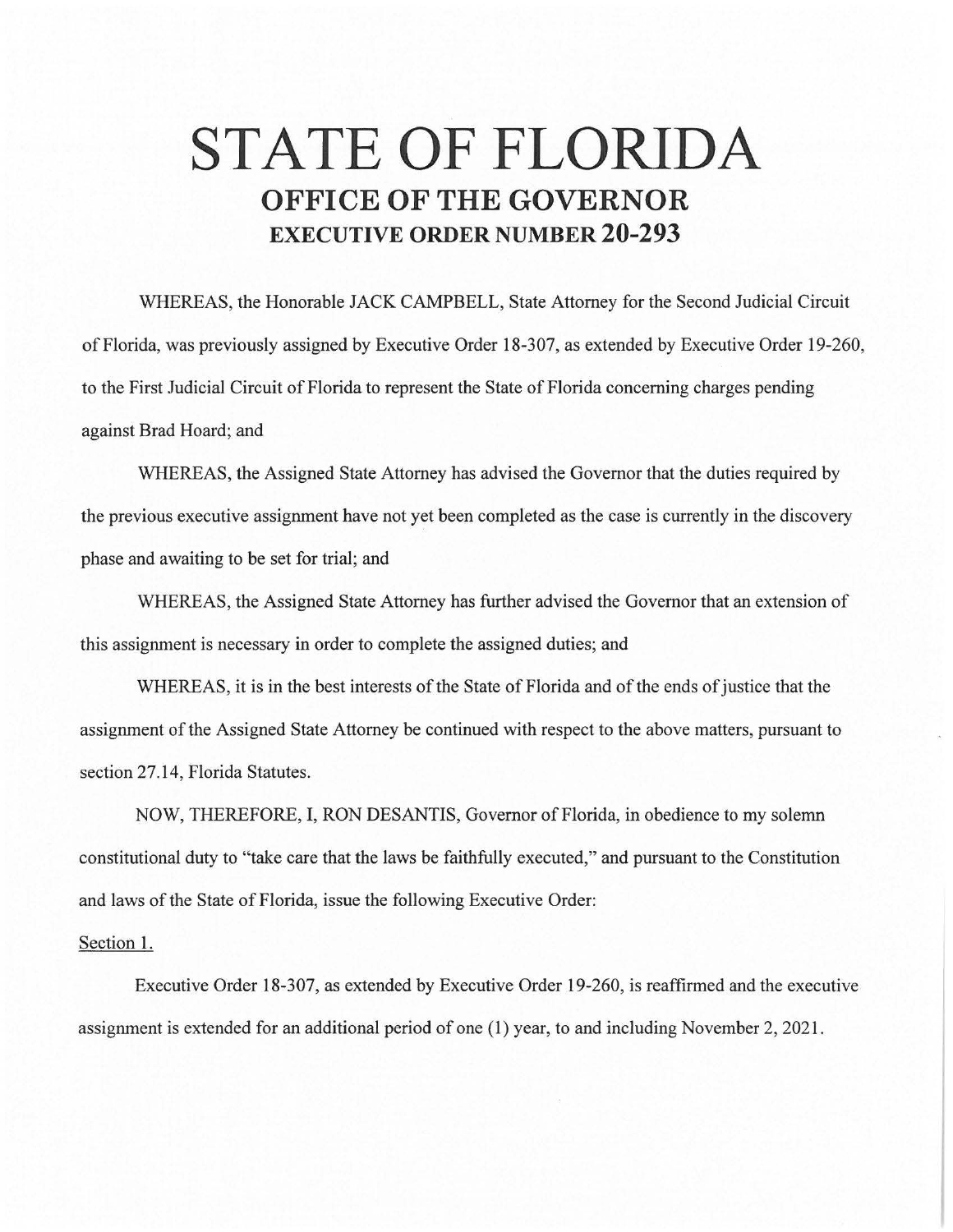## **STATE OF FLORIDA OFFICE OF THE GOVERNOR EXECUTIVE ORDER NUMBER 20-293**

WHEREAS, the Honorable JACK CAMPBELL, State Attorney for the Second Judicial Circuit of Florida, was previously assigned by Executive Order 18-307, as extended by Executive Order 19-260, to the First Judicial Circuit of Florida to represent the State of Florida concerning charges pending against Brad Hoard; and

WHEREAS, the Assigned State Attorney has advised the Governor that the duties required by the previous executive assignment have not yet been completed as the case is currently in the discovery phase and awaiting to be set for trial; and

WHEREAS, the Assigned State Attorney has further advised the Governor that an extension of this assignment is necessary in order to complete the assigned duties; and

WHEREAS, it is in the best interests of the State of Florida and of the ends of justice that the assignment of the Assigned State Attorney be continued with respect to the above matters, pursuant to section 27.14, Florida Statutes.

NOW, THEREFORE, I, RON DESANTIS, Governor of Florida, in obedience to my solemn constitutional duty to "take care that the laws be faithfully executed," and pursuant to the Constitution and laws of the State of Florida, issue the following Executive Order:

## Section 1.

Executive Order 18-307, as extended by Executive Order 19-260, is reaffirmed and the executive assignment is extended for an additional period of one (1) year, to and including November 2, 2021.